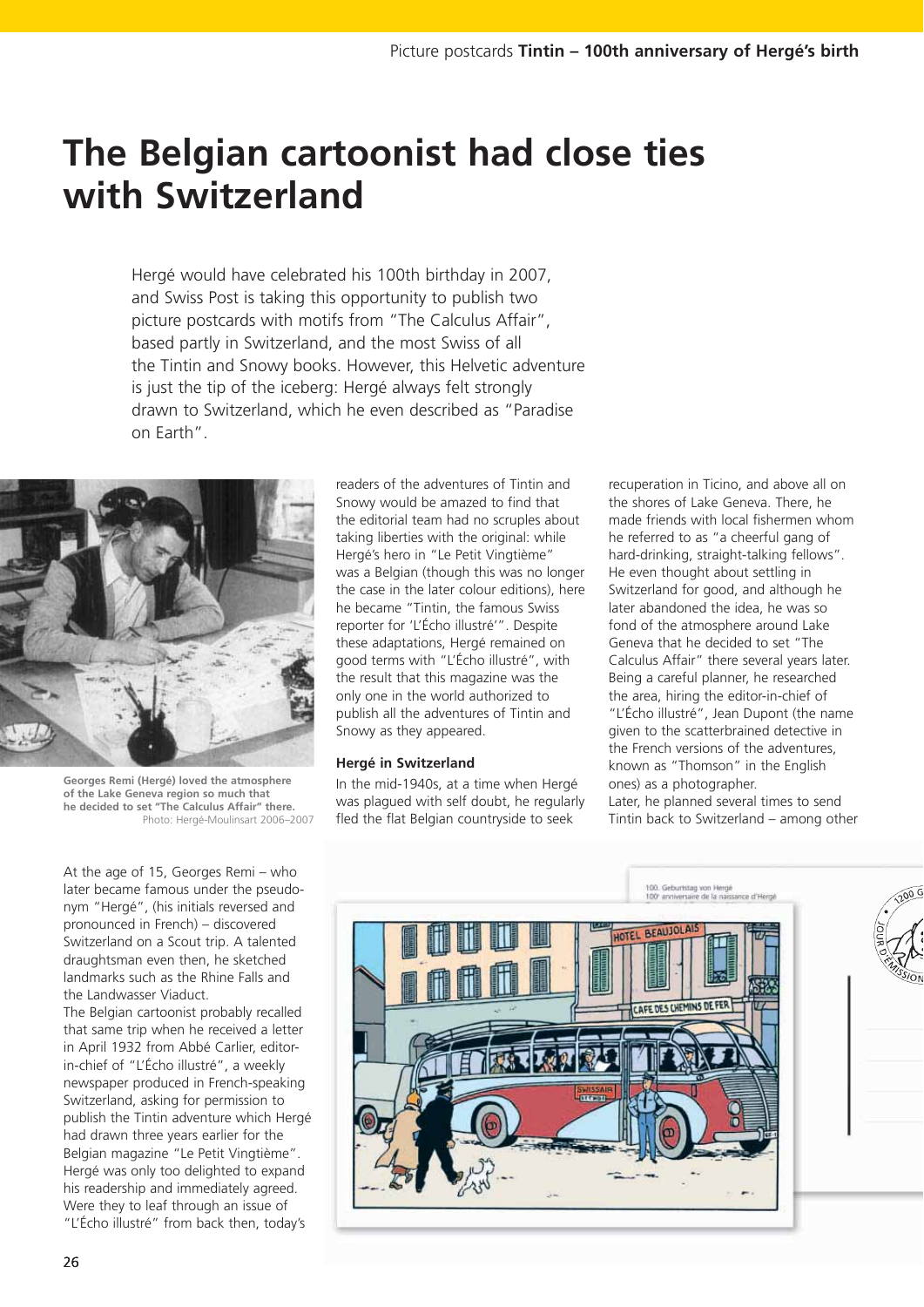# **The Belgian cartoonist had close ties with Switzerland**

Hergé would have celebrated his 100th birthday in 2007, and Swiss Post is taking this opportunity to publish two picture postcards with motifs from "The Calculus Affair", based partly in Switzerland, and the most Swiss of all the Tintin and Snowy books. However, this Helvetic adventure is just the tip of the iceberg: Hergé always felt strongly drawn to Switzerland, which he even described as "Paradise on Earth".



**Georges Remi (Hergé) loved the atmosphere of the Lake Geneva region so much that he decided to set "The Calculus Affair" there.** Photo: Hergé-Moulinsart 2006–2007

At the age of 15, Georges Remi – who later became famous under the pseudonym "Hergé", (his initials reversed and pronounced in French) – discovered Switzerland on a Scout trip. A talented draughtsman even then, he sketched landmarks such as the Rhine Falls and the Landwasser Viaduct.

The Belgian cartoonist probably recalled that same trip when he received a letter in April 1932 from Abbé Carlier, editorin-chief of "L'Écho illustré", a weekly newspaper produced in French-speaking Switzerland, asking for permission to publish the Tintin adventure which Hergé had drawn three years earlier for the Belgian magazine "Le Petit Vingtième". Hergé was only too delighted to expand his readership and immediately agreed. Were they to leaf through an issue of "L'Écho illustré" from back then, today's

readers of the adventures of Tintin and Snowy would be amazed to find that the editorial team had no scruples about taking liberties with the original: while Hergé's hero in "Le Petit Vingtième" was a Belgian (though this was no longer the case in the later colour editions), here he became "Tintin, the famous Swiss reporter for 'L'Écho illustré'". Despite these adaptations, Hergé remained on good terms with "L'Écho illustré", with the result that this magazine was the only one in the world authorized to publish all the adventures of Tintin and Snowy as they appeared.

## **Hergé in Switzerland**

In the mid-1940s, at a time when Hergé was plagued with self doubt, he regularly fled the flat Belgian countryside to seek

recuperation in Ticino, and above all on the shores of Lake Geneva. There, he made friends with local fishermen whom he referred to as "a cheerful gang of hard-drinking, straight-talking fellows". He even thought about settling in Switzerland for good, and although he later abandoned the idea, he was so fond of the atmosphere around Lake Geneva that he decided to set "The Calculus Affair" there several years later. Being a careful planner, he researched the area, hiring the editor-in-chief of "L'Écho illustré", Jean Dupont (the name given to the scatterbrained detective in the French versions of the adventures, known as "Thomson" in the English ones) as a photographer. Later, he planned several times to send Tintin back to Switzerland – among other